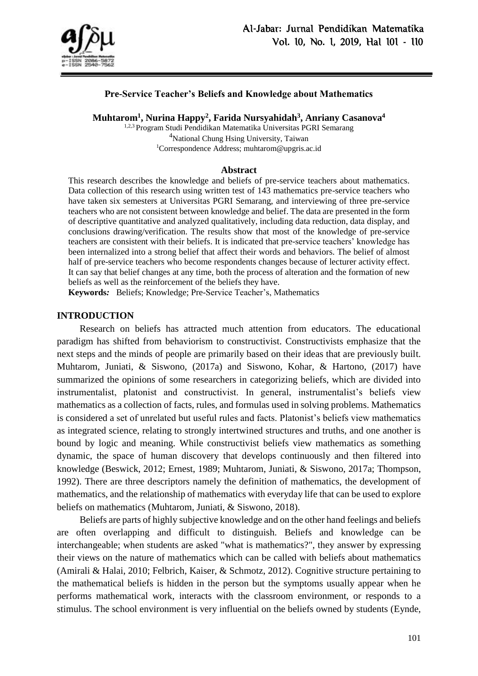

### **Pre-Service Teacher's Beliefs and Knowledge about Mathematics**

**Muhtarom<sup>1</sup> , Nurina Happy<sup>2</sup> , Farida Nursyahidah<sup>3</sup> , Anriany Casanova 4**

1,2,3 Program Studi Pendidikan Matematika Universitas PGRI Semarang <sup>4</sup>National Chung Hsing University, Taiwan <sup>1</sup>Correspondence Address; muhtarom@upgris.ac.id

#### **Abstract**

This research describes the knowledge and beliefs of pre-service teachers about mathematics. Data collection of this research using written test of 143 mathematics pre-service teachers who have taken six semesters at Universitas PGRI Semarang, and interviewing of three pre-service teachers who are not consistent between knowledge and belief. The data are presented in the form of descriptive quantitative and analyzed qualitatively, including data reduction, data display, and conclusions drawing/verification. The results show that most of the knowledge of pre-service teachers are consistent with their beliefs. It is indicated that pre-service teachers' knowledge has been internalized into a strong belief that affect their words and behaviors. The belief of almost half of pre-service teachers who become respondents changes because of lecturer activity effect. It can say that belief changes at any time, both the process of alteration and the formation of new beliefs as well as the reinforcement of the beliefs they have.

**Keywords***:* Beliefs; Knowledge; Pre-Service Teacher's, Mathematics

#### **INTRODUCTION**

Research on beliefs has attracted much attention from educators. The educational paradigm has shifted from behaviorism to constructivist. Constructivists emphasize that the next steps and the minds of people are primarily based on their ideas that are previously built. Muhtarom, Juniati, & Siswono, (2017a) and Siswono, Kohar, & Hartono, (2017) have summarized the opinions of some researchers in categorizing beliefs, which are divided into instrumentalist, platonist and constructivist. In general, instrumentalist's beliefs view mathematics as a collection of facts, rules, and formulas used in solving problems. Mathematics is considered a set of unrelated but useful rules and facts. Platonist's beliefs view mathematics as integrated science, relating to strongly intertwined structures and truths, and one another is bound by logic and meaning. While constructivist beliefs view mathematics as something dynamic, the space of human discovery that develops continuously and then filtered into knowledge (Beswick, 2012; Ernest, 1989; Muhtarom, Juniati, & Siswono, 2017a; Thompson, 1992). There are three descriptors namely the definition of mathematics, the development of mathematics, and the relationship of mathematics with everyday life that can be used to explore beliefs on mathematics (Muhtarom, Juniati, & Siswono, 2018).

Beliefs are parts of highly subjective knowledge and on the other hand feelings and beliefs are often overlapping and difficult to distinguish. Beliefs and knowledge can be interchangeable; when students are asked "what is mathematics?", they answer by expressing their views on the nature of mathematics which can be called with beliefs about mathematics (Amirali & Halai, 2010; Felbrich, Kaiser, & Schmotz, 2012). Cognitive structure pertaining to the mathematical beliefs is hidden in the person but the symptoms usually appear when he performs mathematical work, interacts with the classroom environment, or responds to a stimulus. The school environment is very influential on the beliefs owned by students (Eynde,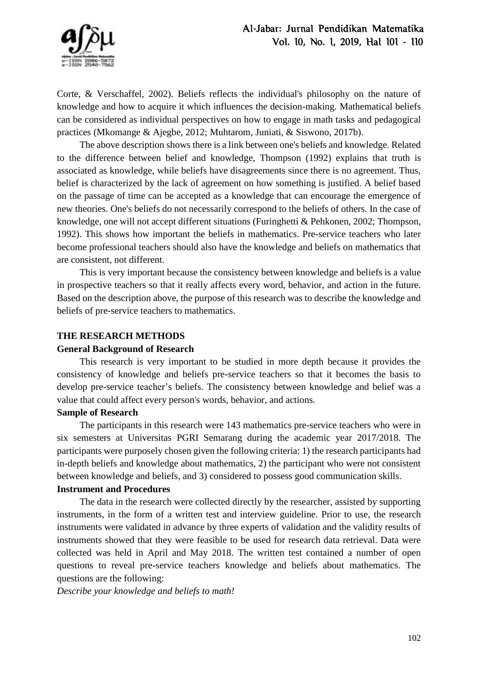Corte, & Verschaffel, 2002). Beliefs reflects the individual's philosophy on the nature of knowledge and how to acquire it which influences the decision-making. Mathematical beliefs can be considered as individual perspectives on how to engage in math tasks and pedagogical practices (Mkomange & Ajegbe, 2012; Muhtarom, Juniati, & Siswono, 2017b).

The above description shows there is a link between one's beliefs and knowledge. Related to the difference between belief and knowledge, Thompson (1992) explains that truth is associated as knowledge, while beliefs have disagreements since there is no agreement. Thus, belief is characterized by the lack of agreement on how something is justified. A belief based on the passage of time can be accepted as a knowledge that can encourage the emergence of new theories. One's beliefs do not necessarily correspond to the beliefs of others. In the case of knowledge, one will not accept different situations (Furinghetti & Pehkonen, 2002; Thompson, 1992). This shows how important the beliefs in mathematics. Pre-service teachers who later become professional teachers should also have the knowledge and beliefs on mathematics that are consistent, not different.

This is very important because the consistency between knowledge and beliefs is a value in prospective teachers so that it really affects every word, behavior, and action in the future. Based on the description above, the purpose of this research was to describe the knowledge and beliefs of pre-service teachers to mathematics.

# **THE RESEARCH METHODS**

# **General Background of Research**

This research is very important to be studied in more depth because it provides the consistency of knowledge and beliefs pre-service teachers so that it becomes the basis to develop pre-service teacher's beliefs. The consistency between knowledge and belief was a value that could affect every person's words, behavior, and actions.

# **Sample of Research**

The participants in this research were 143 mathematics pre-service teachers who were in six semesters at Universitas PGRI Semarang during the academic year 2017/2018. The participants were purposely chosen given the following criteria: 1) the research participants had in-depth beliefs and knowledge about mathematics, 2) the participant who were not consistent between knowledge and beliefs, and 3) considered to possess good communication skills.

# **Instrument and Procedures**

The data in the research were collected directly by the researcher, assisted by supporting instruments, in the form of a written test and interview guideline. Prior to use, the research instruments were validated in advance by three experts of validation and the validity results of instruments showed that they were feasible to be used for research data retrieval. Data were collected was held in April and May 2018. The written test contained a number of open questions to reveal pre-service teachers knowledge and beliefs about mathematics. The questions are the following:

*Describe your knowledge and beliefs to math!*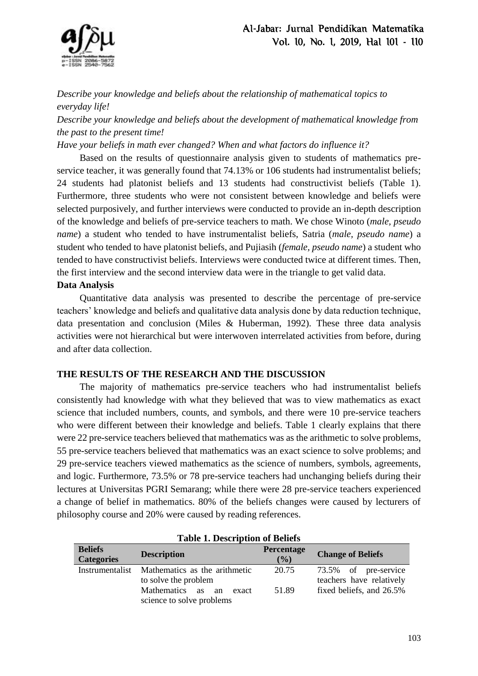

*Describe your knowledge and beliefs about the relationship of mathematical topics to everyday life!* 

*Describe your knowledge and beliefs about the development of mathematical knowledge from the past to the present time!* 

*Have your beliefs in math ever changed? When and what factors do influence it?* 

Based on the results of questionnaire analysis given to students of mathematics preservice teacher, it was generally found that 74.13% or 106 students had instrumentalist beliefs; 24 students had platonist beliefs and 13 students had constructivist beliefs (Table 1). Furthermore, three students who were not consistent between knowledge and beliefs were selected purposively, and further interviews were conducted to provide an in-depth description of the knowledge and beliefs of pre-service teachers to math. We chose Winoto (*male, pseudo name*) a student who tended to have instrumentalist beliefs, Satria (*male, pseudo name*) a student who tended to have platonist beliefs, and Pujiasih (*female, pseudo name*) a student who tended to have constructivist beliefs. Interviews were conducted twice at different times. Then, the first interview and the second interview data were in the triangle to get valid data.

### **Data Analysis**

Quantitative data analysis was presented to describe the percentage of pre-service teachers' knowledge and beliefs and qualitative data analysis done by data reduction technique, data presentation and conclusion (Miles & Huberman, 1992). These three data analysis activities were not hierarchical but were interwoven interrelated activities from before, during and after data collection.

# **THE RESULTS OF THE RESEARCH AND THE DISCUSSION**

The majority of mathematics pre-service teachers who had instrumentalist beliefs consistently had knowledge with what they believed that was to view mathematics as exact science that included numbers, counts, and symbols, and there were 10 pre-service teachers who were different between their knowledge and beliefs. Table 1 clearly explains that there were 22 pre-service teachers believed that mathematics was as the arithmetic to solve problems, 55 pre-service teachers believed that mathematics was an exact science to solve problems; and 29 pre-service teachers viewed mathematics as the science of numbers, symbols, agreements, and logic. Furthermore, 73.5% or 78 pre-service teachers had unchanging beliefs during their lectures at Universitas PGRI Semarang; while there were 28 pre-service teachers experienced a change of belief in mathematics. 80% of the beliefs changes were caused by lecturers of philosophy course and 20% were caused by reading references.

| <b>Table 1. Description of Beliefs</b> |                               |                   |                          |  |
|----------------------------------------|-------------------------------|-------------------|--------------------------|--|
| <b>Beliefs</b><br><b>Categories</b>    | <b>Description</b>            | Percentage<br>(%) | <b>Change of Beliefs</b> |  |
| Instrumentalist                        | Mathematics as the arithmetic | 20.75             | 73.5% of pre-service     |  |
|                                        | to solve the problem          |                   | teachers have relatively |  |
|                                        | Mathematics as<br>an<br>exact | 51.89             | fixed beliefs, and 26.5% |  |
|                                        | science to solve problems     |                   |                          |  |

### **Table 1. Description of Beliefs**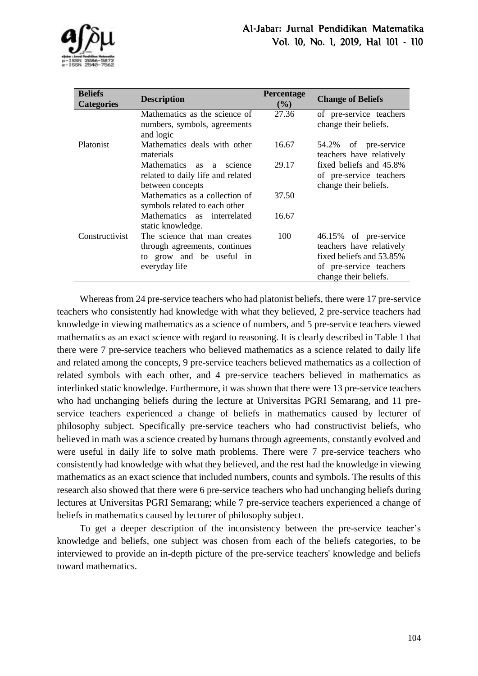

| <b>Beliefs</b><br><b>Categories</b> | <b>Description</b>                                                                                         | Percentage<br>(%) | <b>Change of Beliefs</b>                                                                                                          |
|-------------------------------------|------------------------------------------------------------------------------------------------------------|-------------------|-----------------------------------------------------------------------------------------------------------------------------------|
| <b>Platonist</b>                    | Mathematics as the science of<br>numbers, symbols, agreements<br>and logic                                 | 27.36             | of pre-service teachers<br>change their beliefs.                                                                                  |
|                                     | Mathematics deals with other<br>materials                                                                  | 16.67             | of pre-service<br>54.2%<br>teachers have relatively                                                                               |
|                                     | Mathematics as<br>science<br>a<br>related to daily life and related<br>between concepts                    | 29.17             | fixed beliefs and 45.8%<br>of pre-service teachers<br>change their beliefs.                                                       |
|                                     | Mathematics as a collection of<br>symbols related to each other                                            | 37.50             |                                                                                                                                   |
|                                     | Mathematics as interrelated<br>static knowledge.                                                           | 16.67             |                                                                                                                                   |
| Constructivist                      | The science that man creates<br>through agreements, continues<br>to grow and be useful in<br>everyday life | 100               | 46.15% of pre-service<br>teachers have relatively<br>fixed beliefs and 53.85%<br>of pre-service teachers<br>change their beliefs. |

Whereas from 24 pre-service teachers who had platonist beliefs, there were 17 pre-service teachers who consistently had knowledge with what they believed, 2 pre-service teachers had knowledge in viewing mathematics as a science of numbers, and 5 pre-service teachers viewed mathematics as an exact science with regard to reasoning. It is clearly described in Table 1 that there were 7 pre-service teachers who believed mathematics as a science related to daily life and related among the concepts, 9 pre-service teachers believed mathematics as a collection of related symbols with each other, and 4 pre-service teachers believed in mathematics as interlinked static knowledge. Furthermore, it was shown that there were 13 pre-service teachers who had unchanging beliefs during the lecture at Universitas PGRI Semarang, and 11 preservice teachers experienced a change of beliefs in mathematics caused by lecturer of philosophy subject. Specifically pre-service teachers who had constructivist beliefs, who believed in math was a science created by humans through agreements, constantly evolved and were useful in daily life to solve math problems. There were 7 pre-service teachers who consistently had knowledge with what they believed, and the rest had the knowledge in viewing mathematics as an exact science that included numbers, counts and symbols. The results of this research also showed that there were 6 pre-service teachers who had unchanging beliefs during lectures at Universitas PGRI Semarang; while 7 pre-service teachers experienced a change of beliefs in mathematics caused by lecturer of philosophy subject.

To get a deeper description of the inconsistency between the pre-service teacher's knowledge and beliefs, one subject was chosen from each of the beliefs categories, to be interviewed to provide an in-depth picture of the pre-service teachers' knowledge and beliefs toward mathematics.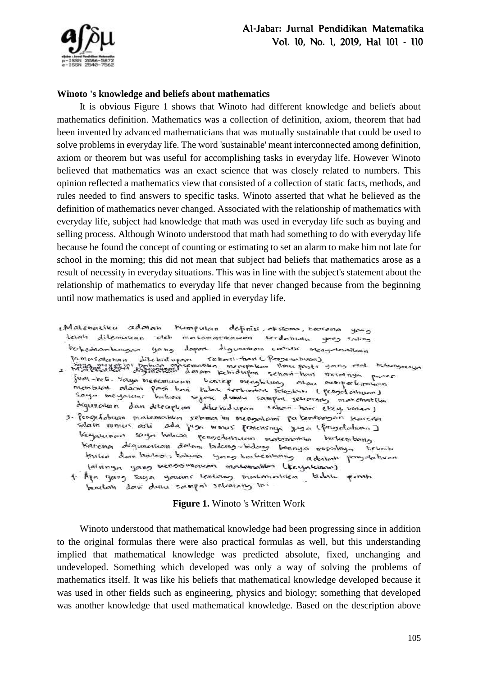

# **Winoto 's knowledge and beliefs about mathematics**

It is obvious Figure 1 shows that Winoto had different knowledge and beliefs about mathematics definition. Mathematics was a collection of definition, axiom, theorem that had been invented by advanced mathematicians that was mutually sustainable that could be used to solve problems in everyday life. The word 'sustainable' meant interconnected among definition, axiom or theorem but was useful for accomplishing tasks in everyday life. However Winoto believed that mathematics was an exact science that was closely related to numbers. This opinion reflected a mathematics view that consisted of a collection of static facts, methods, and rules needed to find answers to specific tasks. Winoto asserted that what he believed as the definition of mathematics never changed. Associated with the relationship of mathematics with everyday life, subject had knowledge that math was used in everyday life such as buying and selling process. Although Winoto understood that math had something to do with everyday life because he found the concept of counting or estimating to set an alarm to make him not late for school in the morning; this did not mean that subject had beliefs that mathematics arose as a result of necessity in everyday situations. This was in line with the subject's statement about the relationship of mathematics to everyday life that never changed because from the beginning until now mathematics is used and applied in everyday life.

Matematika adalah kumpulan definisi, aksioma, keorema yang telah ditemukan oleh matematikawan terdahulu yang saling berkesinambungan yang dapat digunakan wotuk menyelesaikan

Perkesinambungan yang dapat digunakan untuk menyelesaikan<br>Permasalahan dibehidupan sehari-hari Pangerahuan)<br>2. Malematikan digunakkan dalam kehidupan sehari-hari meranya proper<br>1941-beli Saya menemuluan kancep menghilung a membuat alam pasi hari tidak terbentat sekulan (pengetahuan) Saya meyakini bahwa sejak dubulu sampai sekarang macematika degunation dan diterapkan dikebidupan sehan-ham eteyakinan)

- 3. Pengetahuan matematikan sebiman ini mengalami pertembanyan karena selain numus asti ada juga mmus pronchisnya juga (pengetahuan) Keynunan saya bahwa pengetamuan matematika batembang karenon digunawan dalam bidang-bidang binnya misalnya teknik fisika dan hologi; bahwa yang berkembang adalah pengetahuan lainnya yang menggunakan matematik (terpluran)
	- 1. Aya yang saya yamini tentang matemahika tidak penah benutati davi dullu sampai selearary ini

### **Figure 1.** Winoto 's Written Work

Winoto understood that mathematical knowledge had been progressing since in addition to the original formulas there were also practical formulas as well, but this understanding implied that mathematical knowledge was predicted absolute, fixed, unchanging and undeveloped. Something which developed was only a way of solving the problems of mathematics itself. It was like his beliefs that mathematical knowledge developed because it was used in other fields such as engineering, physics and biology; something that developed was another knowledge that used mathematical knowledge. Based on the description above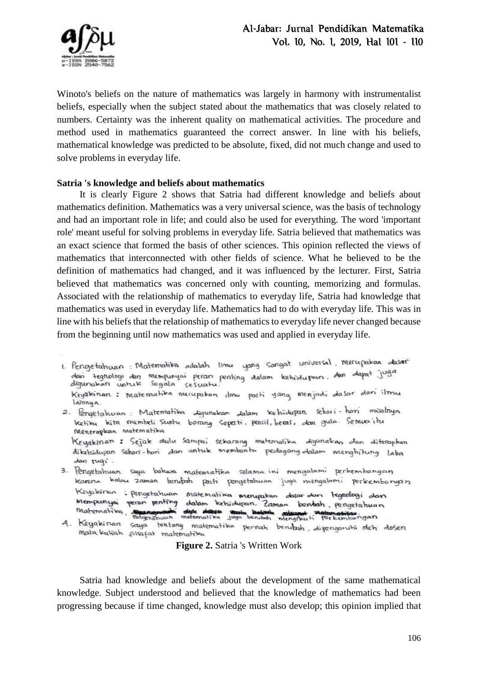

Winoto's beliefs on the nature of mathematics was largely in harmony with instrumentalist beliefs, especially when the subject stated about the mathematics that was closely related to numbers. Certainty was the inherent quality on mathematical activities. The procedure and method used in mathematics guaranteed the correct answer. In line with his beliefs, mathematical knowledge was predicted to be absolute, fixed, did not much change and used to solve problems in everyday life.

#### **Satria 's knowledge and beliefs about mathematics**

It is clearly Figure 2 shows that Satria had different knowledge and beliefs about mathematics definition. Mathematics was a very universal science, was the basis of technology and had an important role in life; and could also be used for everything. The word 'important role' meant useful for solving problems in everyday life. Satria believed that mathematics was an exact science that formed the basis of other sciences. This opinion reflected the views of mathematics that interconnected with other fields of science. What he believed to be the definition of mathematics had changed, and it was influenced by the lecturer. First, Satria believed that mathematics was concerned only with counting, memorizing and formulas. Associated with the relationship of mathematics to everyday life, Satria had knowledge that mathematics was used in everyday life. Mathematics had to do with everyday life. This was in line with his beliefs that the relationship of mathematics to everyday life never changed because from the beginning until now mathematics was used and applied in everyday life.

- 1. Pengetahuan: Matematika adalah limu yang sangat universal, merupakan dasar dan tegnologi dan mempunyai peran penting dalam kehidupan. dan dapat juga<br>digunakan untuk segala sesuatu. Kryakinan: Matematika merupakan ilmu posti yang menjadi dasar dan ilmu lamnya.
- 2. Pengetahwan Matematika digunakan dalam kehidupan sehari-hari misalnya ketika kita membeli suatu borang seperti, pensil, beras, dan gula. Semuajitu Menerapkan matematika Keyakinan: Sejak dulu sampai sekarang matemalika digunakan dan diterapkan dikehidupan sehari-han dan untuk membantu pedagang dalam menghitung laba dan rugi.
- 3. Pengetahuan saya bahwa matematika selama ini mengalami perkembangan karena kalau zaman berufah pasti pangetahuan juga mengalami perkembangan Keyakiran: pengetatuan matematika menyakan dasar dan tegnologi dan Mempunyai peran penting dalam kehidupan. Zaman bantah, pengetahuan matematika, management det desse man behalte maged webmetika.
- 4. Keyakinan saya tentang matematika pernah berubah, dipengaruhi deh dosen mata kuliah filsafat matematika

#### **Figure 2.** Satria 's Written Work

Satria had knowledge and beliefs about the development of the same mathematical knowledge. Subject understood and believed that the knowledge of mathematics had been progressing because if time changed, knowledge must also develop; this opinion implied that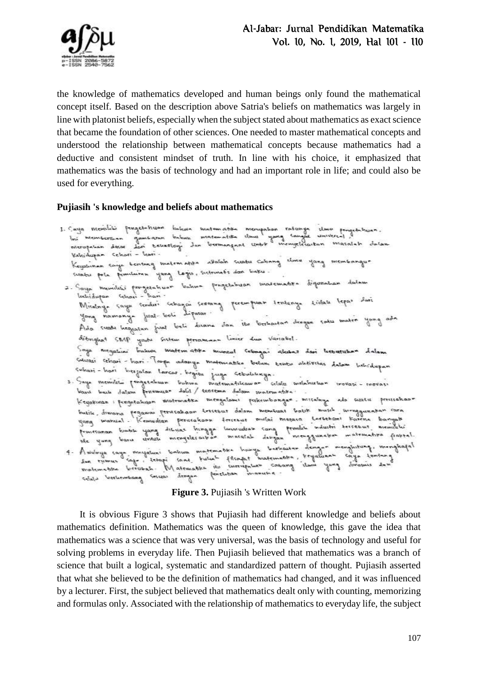

the knowledge of mathematics developed and human beings only found the mathematical concept itself. Based on the description above Satria's beliefs on mathematics was largely in line with platonist beliefs, especially when the subject stated about mathematics as exact science that became the foundation of other sciences. One needed to master mathematical concepts and understood the relationship between mathematical concepts because mathematics had a deductive and consistent mindset of truth. In line with his choice, it emphasized that mathematics was the basis of technology and had an important role in life; and could also be used for everything.

# **Pujiasih 's knowledge and beliefs about mathematics**

I. Caya memiliki pengetehuan buhun matematika merupakan ratunga ilmu pengetuhuan.<br>Ini membertuan gambaran buhuk matematika ilmu yang sanyar universal, l<br>nierupakan dasar dari teknologi dan bermangaat untuk menyeleraikan ma Kahidupan cehari - hari -Kebudupan Cehari - hari .<br>Keyahinen saya bentang matematika abatah suatu cabang elimu yang membangur suatu pola pemiliuran yang lagis, sistematis dan baku. 2. Saya memiliki pengerahuan bahwa pengetahuan matematika digunahan dalam Inchidupan schoni - hari. lechidupan sehari-lam.<br>Misalnya çaya sendiri sebagai seorang perempuan teritanya kidati lepas dari<br>Misalnya çaya sendiri sebagai seoran: yong namanya juat-tooli Lipatar. yang namanya juat-boli dipatar:<br>Ada suadu beg<sub>patan</sub> juat beli duana dan itu berbautan dengan satu maten yang ada ditinghat SMP youth Sistem personanan linier dua Variabel. Soya meyatimi bahwa matematika muncul sebagai alahas dari leebutuhan dalam Suleasi cehari-hari Toupe adanya matamatika belum kembu aletivitas datam hebidupan<br>Suleasi-hari beriatan laman l Subasi-hari berjalan lancar begitu juga Sebulukunya.<br>3. Saya memilitu fengerahuan buhun matematikawan celalu melahirkan irovasi-movasi<br>10. basa balaw fenemuan dolil teorema dalam motomatika. Keyakinan : pengedahuan matematika mengatami perkembangan misalnya ada suatu perisishaan Keyarinan : pengeraniyan minimumo .<br>1999 manual : Kemudian perusahaan tercebut dalam membuat batik musih inenggunakan cara banyak<br>1999 manual : Kemudian perusahaan tercebut mulai merasa tersebani karena banyak<br>1998 menampu ide yang baru untuk menyereraikan mumilik asegan dengan menghitung, menghapat<br>4. Awalnya caya meyatuni bahwa matematika honya berkautan dengan menghitung, menghapat<br>1 same saya terubah. Matematika iku surrupakan cabang ila

# **Figure 3.** Pujiasih 's Written Work

It is obvious Figure 3 shows that Pujiasih had different knowledge and beliefs about mathematics definition. Mathematics was the queen of knowledge, this gave the idea that mathematics was a science that was very universal, was the basis of technology and useful for solving problems in everyday life. Then Pujiasih believed that mathematics was a branch of science that built a logical, systematic and standardized pattern of thought. Pujiasih asserted that what she believed to be the definition of mathematics had changed, and it was influenced by a lecturer. First, the subject believed that mathematics dealt only with counting, memorizing and formulas only. Associated with the relationship of mathematics to everyday life, the subject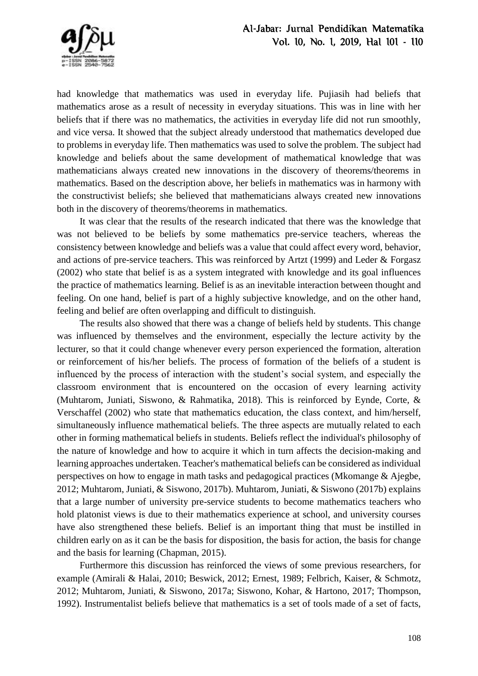

had knowledge that mathematics was used in everyday life. Pujiasih had beliefs that mathematics arose as a result of necessity in everyday situations. This was in line with her beliefs that if there was no mathematics, the activities in everyday life did not run smoothly, and vice versa. It showed that the subject already understood that mathematics developed due to problems in everyday life. Then mathematics was used to solve the problem. The subject had knowledge and beliefs about the same development of mathematical knowledge that was mathematicians always created new innovations in the discovery of theorems/theorems in mathematics. Based on the description above, her beliefs in mathematics was in harmony with the constructivist beliefs; she believed that mathematicians always created new innovations both in the discovery of theorems/theorems in mathematics.

It was clear that the results of the research indicated that there was the knowledge that was not believed to be beliefs by some mathematics pre-service teachers, whereas the consistency between knowledge and beliefs was a value that could affect every word, behavior, and actions of pre-service teachers. This was reinforced by Artzt (1999) and Leder & Forgasz (2002) who state that belief is as a system integrated with knowledge and its goal influences the practice of mathematics learning. Belief is as an inevitable interaction between thought and feeling. On one hand, belief is part of a highly subjective knowledge, and on the other hand, feeling and belief are often overlapping and difficult to distinguish.

The results also showed that there was a change of beliefs held by students. This change was influenced by themselves and the environment, especially the lecture activity by the lecturer, so that it could change whenever every person experienced the formation, alteration or reinforcement of his/her beliefs. The process of formation of the beliefs of a student is influenced by the process of interaction with the student's social system, and especially the classroom environment that is encountered on the occasion of every learning activity (Muhtarom, Juniati, Siswono, & Rahmatika, 2018). This is reinforced by Eynde, Corte, & Verschaffel (2002) who state that mathematics education, the class context, and him/herself, simultaneously influence mathematical beliefs. The three aspects are mutually related to each other in forming mathematical beliefs in students. Beliefs reflect the individual's philosophy of the nature of knowledge and how to acquire it which in turn affects the decision-making and learning approaches undertaken. Teacher's mathematical beliefs can be considered as individual perspectives on how to engage in math tasks and pedagogical practices (Mkomange & Ajegbe, 2012; Muhtarom, Juniati, & Siswono, 2017b). Muhtarom, Juniati, & Siswono (2017b) explains that a large number of university pre-service students to become mathematics teachers who hold platonist views is due to their mathematics experience at school, and university courses have also strengthened these beliefs. Belief is an important thing that must be instilled in children early on as it can be the basis for disposition, the basis for action, the basis for change and the basis for learning (Chapman, 2015).

Furthermore this discussion has reinforced the views of some previous researchers, for example (Amirali & Halai, 2010; Beswick, 2012; Ernest, 1989; Felbrich, Kaiser, & Schmotz, 2012; Muhtarom, Juniati, & Siswono, 2017a; Siswono, Kohar, & Hartono, 2017; Thompson, 1992). Instrumentalist beliefs believe that mathematics is a set of tools made of a set of facts,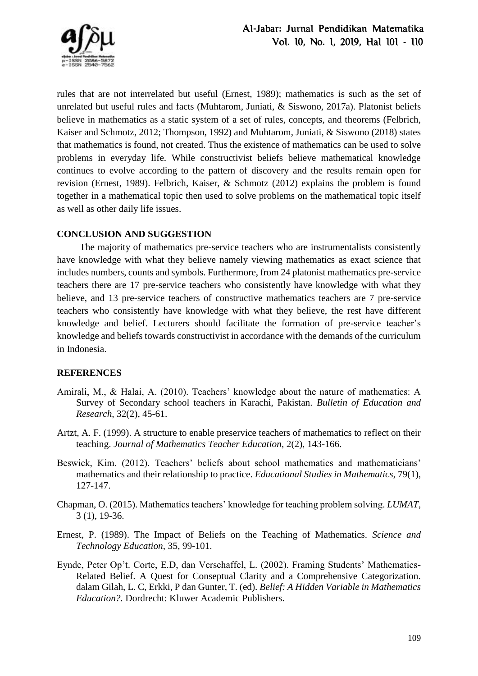

rules that are not interrelated but useful (Ernest, 1989); mathematics is such as the set of unrelated but useful rules and facts (Muhtarom, Juniati, & Siswono, 2017a). Platonist beliefs believe in mathematics as a static system of a set of rules, concepts, and theorems (Felbrich, Kaiser and Schmotz, 2012; Thompson, 1992) and Muhtarom, Juniati, & Siswono (2018) states that mathematics is found, not created. Thus the existence of mathematics can be used to solve problems in everyday life. While constructivist beliefs believe mathematical knowledge continues to evolve according to the pattern of discovery and the results remain open for revision (Ernest, 1989). Felbrich, Kaiser, & Schmotz (2012) explains the problem is found together in a mathematical topic then used to solve problems on the mathematical topic itself as well as other daily life issues.

# **CONCLUSION AND SUGGESTION**

The majority of mathematics pre-service teachers who are instrumentalists consistently have knowledge with what they believe namely viewing mathematics as exact science that includes numbers, counts and symbols. Furthermore, from 24 platonist mathematics pre-service teachers there are 17 pre-service teachers who consistently have knowledge with what they believe, and 13 pre-service teachers of constructive mathematics teachers are 7 pre-service teachers who consistently have knowledge with what they believe, the rest have different knowledge and belief. Lecturers should facilitate the formation of pre-service teacher's knowledge and beliefs towards constructivist in accordance with the demands of the curriculum in Indonesia.

# **REFERENCES**

- Amirali, M., & Halai, A. (2010). Teachers' knowledge about the nature of mathematics: A Survey of Secondary school teachers in Karachi, Pakistan. *Bulletin of Education and Research*, 32(2), 45-61.
- Artzt, A. F. (1999). A structure to enable preservice teachers of mathematics to reflect on their teaching. *Journal of Mathematics Teacher Education*, 2(2), 143-166.
- Beswick, Kim. (2012). Teachers' beliefs about school mathematics and mathematicians' mathematics and their relationship to practice. *Educational Studies in Mathematics*, 79(1), 127-147.
- Chapman, O. (2015). Mathematics teachers' knowledge for teaching problem solving. *LUMAT*, 3 (1), 19-36.
- Ernest, P. (1989). The Impact of Beliefs on the Teaching of Mathematics*. Science and Technology Education*, 35, 99-101.
- Eynde, Peter Op't. Corte, E.D, dan Verschaffel, L. (2002). Framing Students' Mathematics-Related Belief. A Quest for Conseptual Clarity and a Comprehensive Categorization. dalam Gilah, L. C, Erkki, P dan Gunter, T. (ed). *Belief: A Hidden Variable in Mathematics Education?.* Dordrecht: Kluwer Academic Publishers.